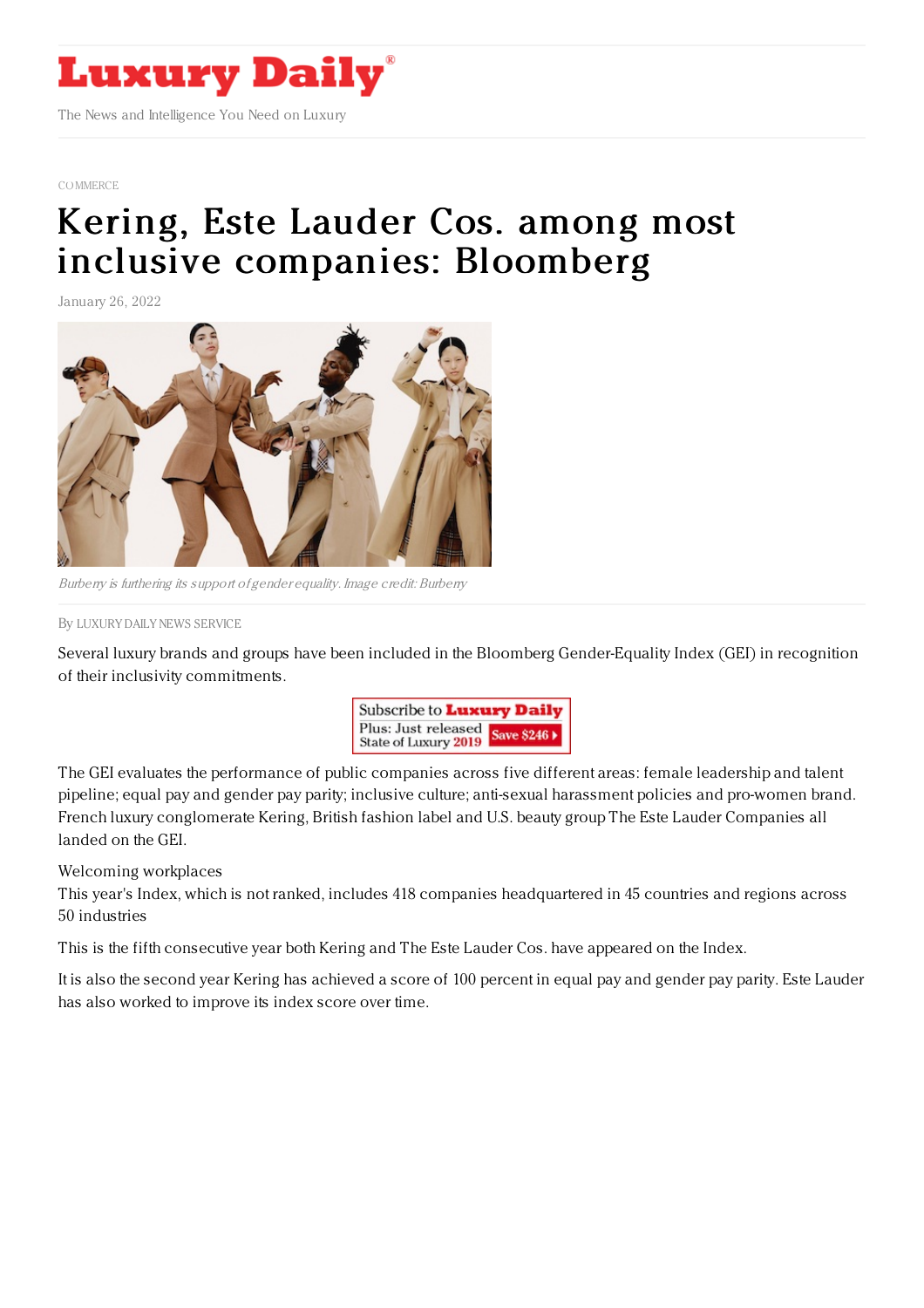

[COMMERCE](https://www.luxurydaily.com/category/news/commerce-news/)

## Kering, Este Lauder Cos. among most inclusive [companies:](https://www.luxurydaily.com/bloomberg-gender-equality-index-luxury-brands/) Bloomberg

January 26, 2022



Burberry is furthering its support of gender equality. Image credit: Burberry

By LUXURY DAILY NEWS [SERVICE](file:///author/luxury-daily-news-service)

Several luxury brands and groups have been included in the Bloomberg Gender-Equality Index (GEI) in recognition of their inclusivity commitments.



The GEI evaluates the performance of public companies across five different areas: female leadership and talent pipeline; equal pay and gender pay parity; inclusive culture; anti-sexual harassment policies and pro-women brand. French luxury conglomerate Kering, British fashion label and U.S. beauty group The Este Lauder Companies all landed on the GEI.

Welcoming workplaces

This year's Index, which is not ranked, includes 418 companies headquartered in 45 countries and regions across 50 industries

This is the fifth consecutive year both Kering and The Este Lauder Cos. have appeared on the Index.

It is also the second year Kering has achieved a score of 100 percent in equal pay and gender pay parity. Este Lauder has also worked to improve its index score over time.